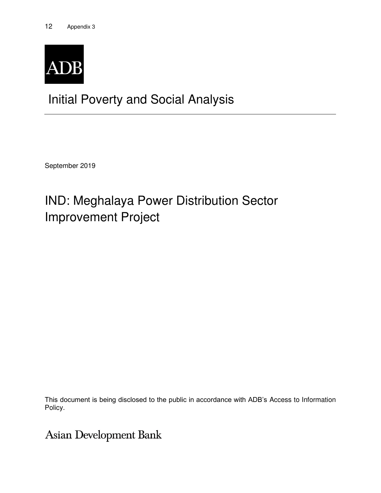

# Initial Poverty and Social Analysis

September 2019

# IND: Meghalaya Power Distribution Sector Improvement Project

This document is being disclosed to the public in accordance with ADB's Access to Information Policy.

**Asian Development Bank**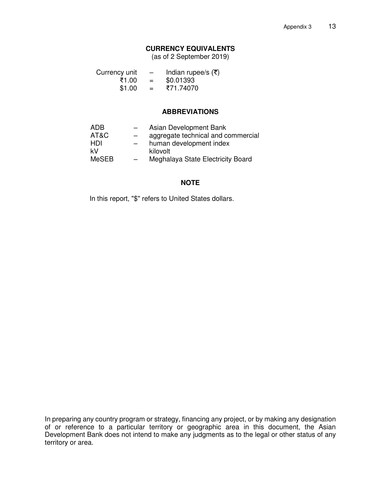### **CURRENCY EQUIVALENTS**

(as of 2 September 2019)

| Currency unit | $\overline{\phantom{0}}$ | Indian rupee/s $(\overline{\tau})$ |
|---------------|--------------------------|------------------------------------|
| ₹1.00         | $=$                      | \$0.01393                          |
| \$1.00        | $=$                      | ₹71.74070                          |

#### **ABBREVIATIONS**

| ADB          | $-$ | Asian Development Bank             |
|--------------|-----|------------------------------------|
| AT&C         | —   | aggregate technical and commercial |
| HDI          |     | human development index            |
| kV           |     | kilovolt                           |
| <b>MeSEB</b> | $-$ | Meghalaya State Electricity Board  |

#### **NOTE**

In this report, "\$" refers to United States dollars.

In preparing any country program or strategy, financing any project, or by making any designation of or reference to a particular territory or geographic area in this document, the Asian Development Bank does not intend to make any judgments as to the legal or other status of any territory or area.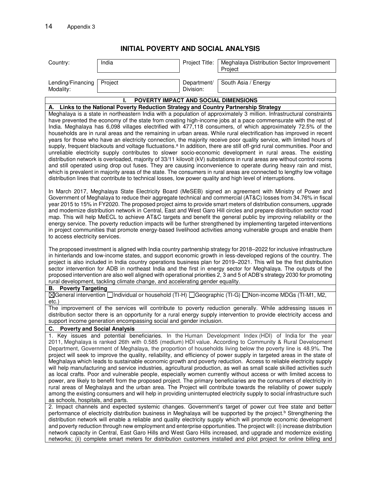### **INITIAL POVERTY AND SOCIAL ANALYSIS**

| Country:                          | India                                                                                                      | Project Title:           | Meghalaya Distribution Sector Improvement<br>Project                                                                                                                                                                                                                                                                                                                                                                                                                                                                                                                                                                                                                                                                                                                                                                                                                                                                                                                                                                                                                                                                                                                                                                            |
|-----------------------------------|------------------------------------------------------------------------------------------------------------|--------------------------|---------------------------------------------------------------------------------------------------------------------------------------------------------------------------------------------------------------------------------------------------------------------------------------------------------------------------------------------------------------------------------------------------------------------------------------------------------------------------------------------------------------------------------------------------------------------------------------------------------------------------------------------------------------------------------------------------------------------------------------------------------------------------------------------------------------------------------------------------------------------------------------------------------------------------------------------------------------------------------------------------------------------------------------------------------------------------------------------------------------------------------------------------------------------------------------------------------------------------------|
| Lending/Financing<br>Modality:    | Project                                                                                                    | Department/<br>Division: | South Asia / Energy                                                                                                                                                                                                                                                                                                                                                                                                                                                                                                                                                                                                                                                                                                                                                                                                                                                                                                                                                                                                                                                                                                                                                                                                             |
|                                   | POVERTY IMPACT AND SOCIAL DIMENSIONS                                                                       |                          |                                                                                                                                                                                                                                                                                                                                                                                                                                                                                                                                                                                                                                                                                                                                                                                                                                                                                                                                                                                                                                                                                                                                                                                                                                 |
| А.                                | Links to the National Poverty Reduction Strategy and Country Partnership Strategy                          |                          |                                                                                                                                                                                                                                                                                                                                                                                                                                                                                                                                                                                                                                                                                                                                                                                                                                                                                                                                                                                                                                                                                                                                                                                                                                 |
|                                   | distribution lines that contribute to technical losses, low power quality and high level of interruptions. |                          | Meghalaya is a state in northeastern India with a population of approximately 3 million. Infrastructural constraints<br>have prevented the economy of the state from creating high-income jobs at a pace commensurate with the rest of<br>India. Meghalaya has 6,098 villages electrified with 477,118 consumers, of which approximately 72.5% of the<br>households are in rural areas and the remaining in urban areas. While rural electrification has improved in recent<br>years for those who have an electricity connection, the majority receive poor quality service, with limited hours of<br>supply, frequent blackouts and voltage fluctuations. <sup>a</sup> In addition, there are still off-grid rural communities. Poor and<br>unreliable electricity supply contributes to slower socio-economic development in rural areas. The existing<br>distribution network is overloaded, majority of 33/11 kilovolt (kV) substations in rural areas are without control rooms<br>and still operated using drop out fuses. They are causing inconvenience to operate during heavy rain and mist,<br>which is prevalent in majority areas of the state. The consumers in rural areas are connected to lengthy low voltage |
| to access electricity services.   |                                                                                                            |                          | In March 2017, Meghalaya State Electricity Board (MeSEB) signed an agreement with Ministry of Power and<br>Government of Meghalaya to reduce their aggregate technical and commercial (AT&C) losses from 34.76% in fiscal<br>year 2015 to 15% in FY2020. The proposed project aims to provide smart meters of distribution consumers, upgrade<br>and modernize distribution network in Central, East and West Garo Hill circles and prepare distribution sector road<br>map. This will help MeECL to achieve AT&C targets and benefit the general public by improving reliability or the<br>energy service. The poverty reduction impacts will be further strengthened by implementing targeted interventions<br>in project communities that promote energy-based livelihood activities among vulnerable groups and enable them                                                                                                                                                                                                                                                                                                                                                                                                 |
|                                   | rural development, tackling climate change, and accelerating gender equality.                              |                          | The proposed investment is aligned with India country partnership strategy for 2018–2022 for inclusive infrastructure<br>in hinterlands and low-income states, and support economic growth in less-developed regions of the country. The<br>project is also included in India country operations business plan for 2019-2021. This will be the first distribution<br>sector intervention for ADB in northeast India and the first in energy sector for Meghalaya. The outputs of the<br>proposed intervention are also well aligned with operational priorities 2, 3 and 5 of ADB's strategy 2030 for promoting                                                                                                                                                                                                                                                                                                                                                                                                                                                                                                                                                                                                                 |
| <b>B.</b> Poverty Targeting       |                                                                                                            |                          |                                                                                                                                                                                                                                                                                                                                                                                                                                                                                                                                                                                                                                                                                                                                                                                                                                                                                                                                                                                                                                                                                                                                                                                                                                 |
| $etc.$ )                          |                                                                                                            |                          | ⊠General intervention Individual or household (TI-H) IGeographic (TI-G) INon-income MDGs (TI-M1, M2,                                                                                                                                                                                                                                                                                                                                                                                                                                                                                                                                                                                                                                                                                                                                                                                                                                                                                                                                                                                                                                                                                                                            |
|                                   | support income generation encompassing social and gender inclusion.                                        |                          | The improvement of the services will contribute to poverty reduction generally. While addressing issues in<br>distribution sector there is an opportunity for a rural energy supply intervention to provide electricity access and                                                                                                                                                                                                                                                                                                                                                                                                                                                                                                                                                                                                                                                                                                                                                                                                                                                                                                                                                                                              |
| C. Poverty and Social Analysis    |                                                                                                            |                          |                                                                                                                                                                                                                                                                                                                                                                                                                                                                                                                                                                                                                                                                                                                                                                                                                                                                                                                                                                                                                                                                                                                                                                                                                                 |
| as schools, hospitals, and parts. |                                                                                                            |                          | 1. Key issues and potential beneficiaries. In the Human Development Index (HDI) of India for the year<br>2011, Meghalaya is ranked 26th with 0.585 (medium) HDI value. According to Community & Rural Development<br>Department, Government of Meghalaya, the proportion of households living below the poverty line is 48.9%. The<br>project will seek to improve the quality, reliability, and efficiency of power supply in targeted areas in the state of<br>Meghalaya which leads to sustainable economic growth and poverty reduction. Access to reliable electricity supply<br>will help manufacturing and service industries, agricultural production, as well as small scale skilled activities such<br>as local crafts. Poor and vulnerable people, especially women currently without access or with limited access to<br>power, are likely to benefit from the proposed project. The primary beneficiaries are the consumers of electricity in<br>rural areas of Meghalaya and the urban area. The Project will contribute towards the reliability of power supply<br>among the existing consumers and will help in providing uninterrupted electricity supply to social infrastructure such                        |
|                                   |                                                                                                            |                          | 2. Impact channels and expected systemic changes. Government's target of power cut free state and better<br>performance of electricity distribution business in Meghalaya will be supported by the project. <sup>b</sup> Strengthening the<br>distribution network will enable a reliable and quality electricity supply which will promote economic development<br>and poverty reduction through new employment and enterprise opportunities. The project will: (i) increase distribution<br>network capacity in Central, East Garo Hills and West Garo Hills increased, and upgrade and modernize existing<br>networks; (ii) complete smart meters for distribution customers installed and pilot project for online billing and                                                                                                                                                                                                                                                                                                                                                                                                                                                                                              |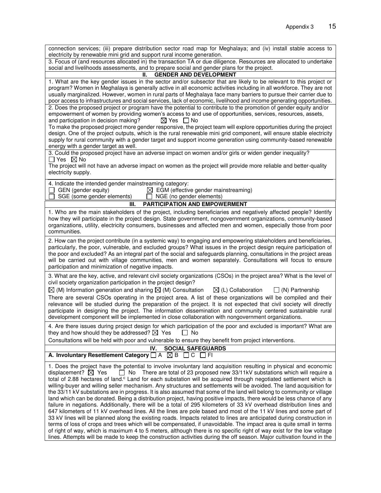| connection services; (iii) prepare distribution sector road map for Meghalaya; and (iv) install stable access to                                                                                                                                                                                                                                                                                                                                                                                                                                                                                                                                                                                                                                                                                                                                                                                                                                                                                                                                                                                                                                                                                                                                                                                                                                                                                                                                                                                      |
|-------------------------------------------------------------------------------------------------------------------------------------------------------------------------------------------------------------------------------------------------------------------------------------------------------------------------------------------------------------------------------------------------------------------------------------------------------------------------------------------------------------------------------------------------------------------------------------------------------------------------------------------------------------------------------------------------------------------------------------------------------------------------------------------------------------------------------------------------------------------------------------------------------------------------------------------------------------------------------------------------------------------------------------------------------------------------------------------------------------------------------------------------------------------------------------------------------------------------------------------------------------------------------------------------------------------------------------------------------------------------------------------------------------------------------------------------------------------------------------------------------|
| electricity by renewable mini grid and support rural income generation.<br>3. Focus of (and resources allocated in) the transaction TA or due diligence. Resources are allocated to undertake                                                                                                                                                                                                                                                                                                                                                                                                                                                                                                                                                                                                                                                                                                                                                                                                                                                                                                                                                                                                                                                                                                                                                                                                                                                                                                         |
| social and livelihoods assessments, and to prepare social and gender plans for the project.                                                                                                                                                                                                                                                                                                                                                                                                                                                                                                                                                                                                                                                                                                                                                                                                                                                                                                                                                                                                                                                                                                                                                                                                                                                                                                                                                                                                           |
| <b>GENDER AND DEVELOPMENT</b><br>Ш.                                                                                                                                                                                                                                                                                                                                                                                                                                                                                                                                                                                                                                                                                                                                                                                                                                                                                                                                                                                                                                                                                                                                                                                                                                                                                                                                                                                                                                                                   |
| 1. What are the key gender issues in the sector and/or subsector that are likely to be relevant to this project or<br>program? Women in Meghalaya is generally active in all economic activities including in all workforce. They are not<br>usually marginalized. However, women in rural parts of Meghalaya face many barriers to pursue their carrier due to<br>poor access to infrastructures and social services, lack of economic, livelihood and income generating opportunities.<br>2. Does the proposed project or program have the potential to contribute to the promotion of gender equity and/or<br>empowerment of women by providing women's access to and use of opportunities, services, resources, assets,                                                                                                                                                                                                                                                                                                                                                                                                                                                                                                                                                                                                                                                                                                                                                                           |
| $\boxtimes$ Yes $\Box$ No<br>and participation in decision making?                                                                                                                                                                                                                                                                                                                                                                                                                                                                                                                                                                                                                                                                                                                                                                                                                                                                                                                                                                                                                                                                                                                                                                                                                                                                                                                                                                                                                                    |
| To make the proposed project more gender responsive, the project team will explore opportunities during the project<br>design. One of the project outputs, which is the rural renewable mini grid component, will ensure stable electricity<br>supply for rural community with a gender target and support income generation using community-based renewable<br>energy with a gender target as well.                                                                                                                                                                                                                                                                                                                                                                                                                                                                                                                                                                                                                                                                                                                                                                                                                                                                                                                                                                                                                                                                                                  |
| 3. Could the proposed project have an adverse impact on women and/or girls or widen gender inequality?<br>$\Box$ Yes $\boxtimes$ No                                                                                                                                                                                                                                                                                                                                                                                                                                                                                                                                                                                                                                                                                                                                                                                                                                                                                                                                                                                                                                                                                                                                                                                                                                                                                                                                                                   |
| The project will not have an adverse impact on women as the project will provide more reliable and better-quality<br>electricity supply.                                                                                                                                                                                                                                                                                                                                                                                                                                                                                                                                                                                                                                                                                                                                                                                                                                                                                                                                                                                                                                                                                                                                                                                                                                                                                                                                                              |
| 4. Indicate the intended gender mainstreaming category:<br>GEN (gender equity)<br>$\boxtimes$ EGM (effective gender mainstreaming)<br>SGE (some gender elements)<br>NGE (no gender elements)                                                                                                                                                                                                                                                                                                                                                                                                                                                                                                                                                                                                                                                                                                                                                                                                                                                                                                                                                                                                                                                                                                                                                                                                                                                                                                          |
| <b>PARTICIPATION AND EMPOWERMENT</b><br>Ш.                                                                                                                                                                                                                                                                                                                                                                                                                                                                                                                                                                                                                                                                                                                                                                                                                                                                                                                                                                                                                                                                                                                                                                                                                                                                                                                                                                                                                                                            |
| 1. Who are the main stakeholders of the project, including beneficiaries and negatively affected people? Identify<br>how they will participate in the project design. State government, nongovernment organizations, community-based<br>organizations, utility, electricity consumers, businesses and affected men and women, especially those from poor<br>communities.                                                                                                                                                                                                                                                                                                                                                                                                                                                                                                                                                                                                                                                                                                                                                                                                                                                                                                                                                                                                                                                                                                                              |
| 2. How can the project contribute (in a systemic way) to engaging and empowering stakeholders and beneficiaries,<br>particularly, the poor, vulnerable, and excluded groups? What issues in the project design require participation of<br>the poor and excluded? As an integral part of the social and safeguards planning, consultations in the project areas<br>will be carried out with village communities, men and women separately. Consultations will focus to ensure<br>participation and minimization of negative impacts.                                                                                                                                                                                                                                                                                                                                                                                                                                                                                                                                                                                                                                                                                                                                                                                                                                                                                                                                                                  |
| 3. What are the key, active, and relevant civil society organizations (CSOs) in the project area? What is the level of<br>civil society organization participation in the project design?                                                                                                                                                                                                                                                                                                                                                                                                                                                                                                                                                                                                                                                                                                                                                                                                                                                                                                                                                                                                                                                                                                                                                                                                                                                                                                             |
| $\boxtimes$ (M) Information generation and sharing $\boxtimes$ (M) Consultation<br>$\boxtimes$ (L) Collaboration<br>$\Box$ (N) Partnership<br>There are several CSOs operating in the project area. A list of these organizations will be compiled and their<br>relevance will be studied during the preparation of the project. It is not expected that civil society will directly<br>participate in designing the project. The information dissemination and community centered sustainable rural<br>development component will be implemented in close collaboration with nongovernment organizations.                                                                                                                                                                                                                                                                                                                                                                                                                                                                                                                                                                                                                                                                                                                                                                                                                                                                                            |
| 4. Are there issues during project design for which participation of the poor and excluded is important? What are<br>they and how should they be addressed? $\boxtimes$ Yes<br>$\Box$ No                                                                                                                                                                                                                                                                                                                                                                                                                                                                                                                                                                                                                                                                                                                                                                                                                                                                                                                                                                                                                                                                                                                                                                                                                                                                                                              |
| Consultations will be held with poor and vulnerable to ensure they benefit from project interventions.                                                                                                                                                                                                                                                                                                                                                                                                                                                                                                                                                                                                                                                                                                                                                                                                                                                                                                                                                                                                                                                                                                                                                                                                                                                                                                                                                                                                |
| <b>SOCIAL SAFEGUARDS</b><br>IV.<br>A. Involuntary Resettlement Category $\Box A \boxtimes B \Box C \Box F$                                                                                                                                                                                                                                                                                                                                                                                                                                                                                                                                                                                                                                                                                                                                                                                                                                                                                                                                                                                                                                                                                                                                                                                                                                                                                                                                                                                            |
| 1. Does the project have the potential to involve involuntary land acquisition resulting in physical and economic<br>displacement? $\boxtimes$ Yes<br>$\Box$ No There are total of 23 proposed new 33/11kV substations which will require a<br>total of 2.88 hectares of land. <sup>c</sup> Land for each substation will be acquired through negotiated settlement which is<br>willing-buyer and willing seller mechanism. Any structures and settlements will be avoided. The land acquisition for<br>the 33/11 kV substations are in progress. It is also assumed that some of the land will belong to community or village<br>land which can be donated. Being a distribution project, having positive impacts, there would be less chance of any<br>failure in negations. Additionally, there will be a total of 295 kilometers of 33 kV overhead distribution lines and<br>647 kilometers of 11 kV overhead lines. All the lines are pole based and most of the 11 kV lines and some part of<br>33 kV lines will be planned along the existing roads. Impacts related to lines are anticipated during construction in<br>terms of loss of crops and trees which will be compensated, if unavoidable. The impact area is quite small in terms<br>of right of way, which is maximum 4 to 5 meters, although there is no specific right of way exist for the low voltage<br>lines. Attempts will be made to keep the construction activities during the off season. Major cultivation found in the |